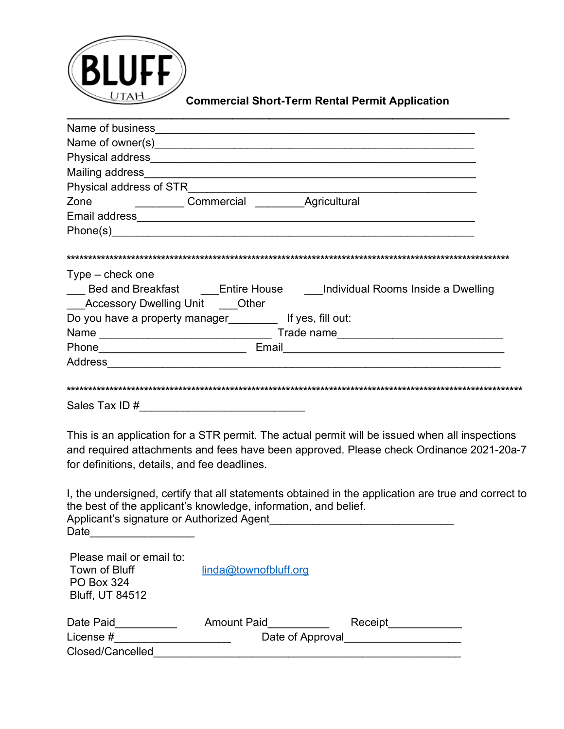

## **Commercial Short-Term Rental Permit Application**

| Physical address of STR                                                                                         |                                                                   |
|-----------------------------------------------------------------------------------------------------------------|-------------------------------------------------------------------|
| <b>Commercial Commercial Agricultural</b><br>Zone                                                               |                                                                   |
|                                                                                                                 |                                                                   |
| Phone(s) 2008 2009 2009 2009 2009 2009 2010 2020 2031 2040 2051 2052 2053 2054 2055 2056 2057 2058 2059 2059 20 |                                                                   |
| $Type - check one$<br>Accessory Dwelling Unit ____Other                                                         | Bed and Breakfast Entire House Individual Rooms Inside a Dwelling |
| Do you have a property manager [15] If yes, fill out:                                                           |                                                                   |
|                                                                                                                 |                                                                   |
| Phone____________________________                                                                               | Email <u>__________________________________</u>                   |
| Address                                                                                                         |                                                                   |
| Sales Tax ID#                                                                                                   |                                                                   |

**\_\_\_\_\_\_\_\_\_\_\_\_\_\_\_\_\_\_\_\_\_\_\_\_\_\_\_\_\_\_\_\_\_\_\_\_\_\_\_\_\_\_\_\_\_\_\_\_\_\_\_\_\_\_\_\_\_\_\_\_\_\_\_\_\_\_\_\_\_\_\_\_**

This is an application for a STR permit. The actual permit will be issued when all inspections and required attachments and fees have been approved. Please check Ordinance 2021-20a-7 for definitions, details, and fee deadlines.

I, the undersigned, certify that all statements obtained in the application are true and correct to the best of the applicant's knowledge, information, and belief. Applicant's signature or Authorized Agent Date\_\_\_\_\_\_\_\_\_\_\_\_\_\_\_\_\_

| Please mail or email to:<br>Town of Bluff<br><b>PO Box 324</b><br><b>Bluff, UT 84512</b> | linda@townofbluff.org                  |         |
|------------------------------------------------------------------------------------------|----------------------------------------|---------|
| Date Paid<br>License #                                                                   | <b>Amount Paid</b><br>Date of Approval | Receipt |
| Closed/Cancelled                                                                         |                                        |         |